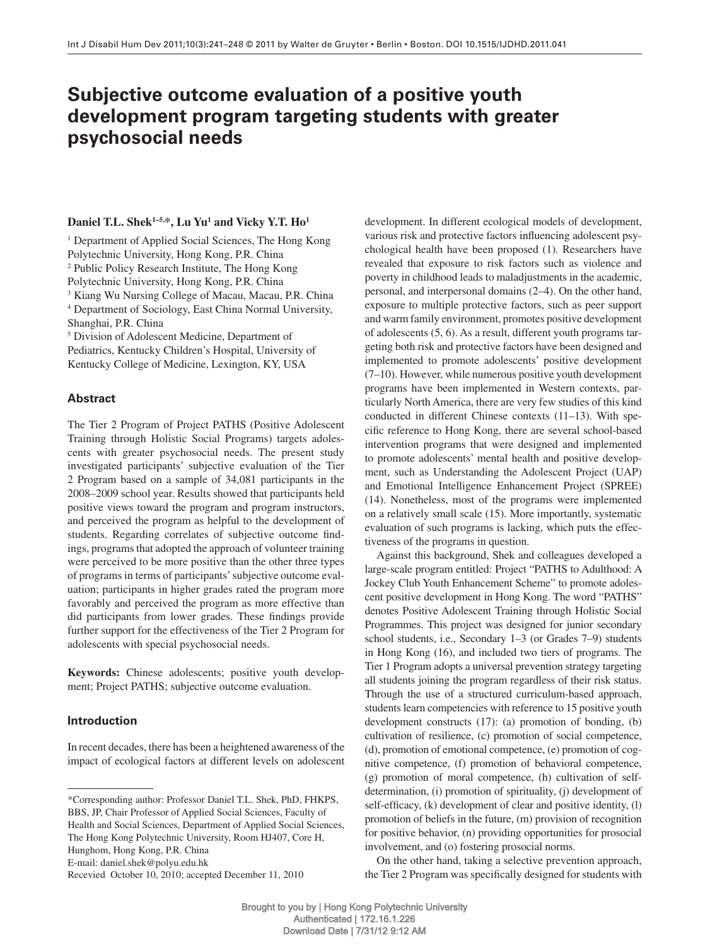# **Subjective outcome evaluation of a positive youth development program targeting students with greater psychosocial needs**

## Daniel T.L. Shek<sup>1-5,</sup>\*, Lu Yu<sup>1</sup> and Vicky Y.T. Ho<sup>1</sup>

<sup>1</sup> Department of Applied Social Sciences, The Hong Kong Polytechnic University, Hong Kong, P.R. China <sup>2</sup> Public Policy Research Institute, The Hong Kong Polytechnic University, Hong Kong, P.R. China <sup>3</sup> Kiang Wu Nursing College of Macau, Macau, P.R. China 4 Department of Sociology , East China Normal University, Shanghai, P.R. China <sup>5</sup> Division of Adolescent Medicine, Department of

Pediatrics, Kentucky Children's Hospital, University of Kentucky College of Medicine, Lexington, KY, USA

# **Abstract**

 The Tier 2 Program of Project PATHS (Positive Adolescent Training through Holistic Social Programs) targets adolescents with greater psychosocial needs. The present study investigated participants' subjective evaluation of the Tier 2 Program based on a sample of 34,081 participants in the 2008-2009 school year. Results showed that participants held positive views toward the program and program instructors, and perceived the program as helpful to the development of students. Regarding correlates of subjective outcome findings, programs that adopted the approach of volunteer training were perceived to be more positive than the other three types of programs in terms of participants ' subjective outcome evaluation; participants in higher grades rated the program more favorably and perceived the program as more effective than did participants from lower grades. These findings provide further support for the effectiveness of the Tier 2 Program for adolescents with special psychosocial needs.

**Keywords:** Chinese adolescents; positive youth development; Project PATHS; subjective outcome evaluation.

# **Introduction**

 In recent decades, there has been a heightened awareness of the impact of ecological factors at different levels on adolescent

E-mail: daniel.shek@polyu.edu.hk

Recevied October 10, 2010; accepted December 11, 2010

development. In different ecological models of development, various risk and protective factors influencing adolescent psychological health have been proposed (1) . Researchers have revealed that exposure to risk factors such as violence and poverty in childhood leads to maladjustments in the academic, personal, and interpersonal domains (2–4). On the other hand, exposure to multiple protective factors, such as peer support and warm family environment, promotes positive development of adolescents (5, 6) . As a result, different youth programs targeting both risk and protective factors have been designed and implemented to promote adolescents' positive development  $(7-10)$ . However, while numerous positive youth development programs have been implemented in Western contexts, particularly North America, there are very few studies of this kind conducted in different Chinese contexts  $(11-13)$ . With specific reference to Hong Kong, there are several school-based intervention programs that were designed and implemented to promote adolescents' mental health and positive development, such as Understanding the Adolescent Project (UAP) and Emotional Intelligence Enhancement Project (SPREE) (14) . Nonetheless, most of the programs were implemented on a relatively small scale (15) . More importantly, systematic evaluation of such programs is lacking, which puts the effectiveness of the programs in question.

 Against this background, Shek and colleagues developed a large-scale program entitled: Project "PATHS to Adulthood: A Jockey Club Youth Enhancement Scheme" to promote adolescent positive development in Hong Kong. The word "PATHS" denotes Positive Adolescent Training through Holistic Social Programmes. This project was designed for junior secondary school students, i.e., Secondary 1–3 (or Grades 7–9) students in Hong Kong (16), and included two tiers of programs. The Tier 1 Program adopts a universal prevention strategy targeting all students joining the program regardless of their risk status. Through the use of a structured curriculum-based approach, students learn competencies with reference to 15 positive youth development constructs  $(17)$ :  $(a)$  promotion of bonding,  $(b)$ cultivation of resilience, (c) promotion of social competence, (d), promotion of emotional competence, (e) promotion of cognitive competence, (f) promotion of behavioral competence, (g) promotion of moral competence, (h) cultivation of selfdetermination, (i) promotion of spirituality, (j) development of self-efficacy, (k) development of clear and positive identity, (l) promotion of beliefs in the future, (m) provision of recognition for positive behavior, (n) providing opportunities for prosocial involvement, and (o) fostering prosocial norms.

 On the other hand, taking a selective prevention approach, the Tier 2 Program was specifically designed for students with

 <sup>\*</sup>Corresponding author: Professor Daniel T.L. Shek, PhD, FHKPS, BBS, JP, Chair Professor of Applied Social Sciences, Faculty of Health and Social Sciences, Department of Applied Social Sciences, The Hong Kong Polytechnic University, Room HJ407, Core H, Hunghom, Hong Kong, P.R. China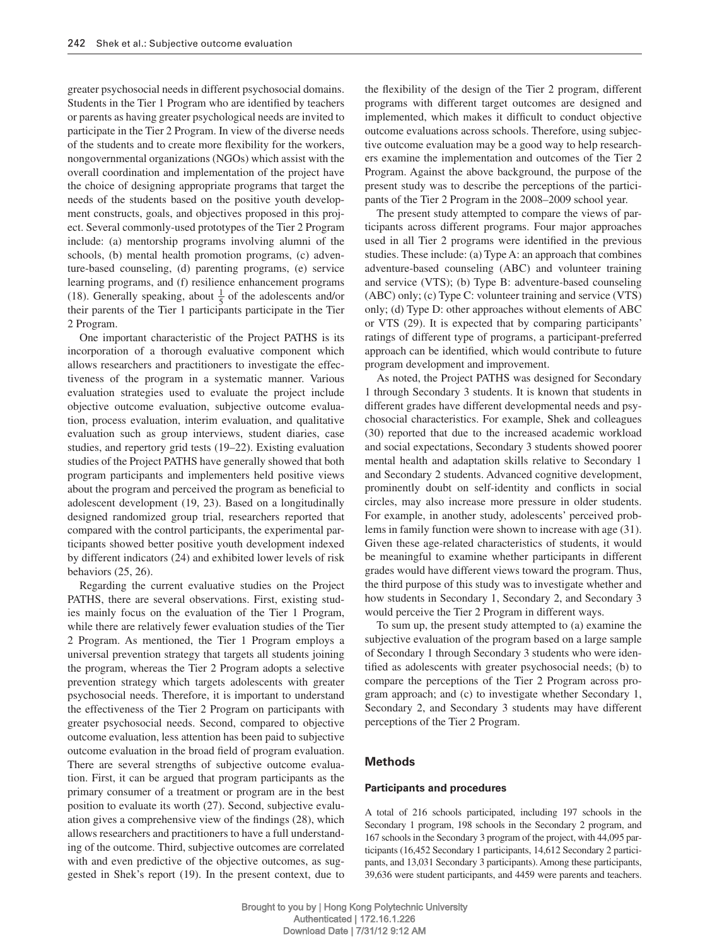greater psychosocial needs in different psychosocial domains. Students in the Tier 1 Program who are identified by teachers or parents as having greater psychological needs are invited to participate in the Tier 2 Program. In view of the diverse needs of the students and to create more flexibility for the workers, nongovernmental organizations (NGOs) which assist with the overall coordination and implementation of the project have the choice of designing appropriate programs that target the needs of the students based on the positive youth development constructs, goals, and objectives proposed in this project. Several commonly-used prototypes of the Tier 2 Program include: (a) mentorship programs involving alumni of the schools, (b) mental health promotion programs, (c) adventure-based counseling, (d) parenting programs, (e) service learning programs, and (f) resilience enhancement programs (18). Generally speaking, about  $\frac{1}{5}$  of the adolescents and/or their parents of the Tier 1 participants participate in the Tier 2 Program.

 One important characteristic of the Project PATHS is its incorporation of a thorough evaluative component which allows researchers and practitioners to investigate the effectiveness of the program in a systematic manner. Various evaluation strategies used to evaluate the project include objective outcome evaluation, subjective outcome evaluation, process evaluation, interim evaluation, and qualitative evaluation such as group interviews, student diaries, case studies, and repertory grid tests (19-22). Existing evaluation studies of the Project PATHS have generally showed that both program participants and implementers held positive views about the program and perceived the program as beneficial to adolescent development (19, 23). Based on a longitudinally designed randomized group trial, researchers reported that compared with the control participants, the experimental participants showed better positive youth development indexed by different indicators (24) and exhibited lower levels of risk behaviors  $(25, 26)$ .

 Regarding the current evaluative studies on the Project PATHS, there are several observations. First, existing studies mainly focus on the evaluation of the Tier 1 Program, while there are relatively fewer evaluation studies of the Tier 2 Program. As mentioned, the Tier 1 Program employs a universal prevention strategy that targets all students joining the program, whereas the Tier 2 Program adopts a selective prevention strategy which targets adolescents with greater psychosocial needs. Therefore, it is important to understand the effectiveness of the Tier 2 Program on participants with greater psychosocial needs. Second, compared to objective outcome evaluation, less attention has been paid to subjective outcome evaluation in the broad field of program evaluation. There are several strengths of subjective outcome evaluation. First, it can be argued that program participants as the primary consumer of a treatment or program are in the best position to evaluate its worth (27) . Second, subjective evaluation gives a comprehensive view of the findings  $(28)$ , which allows researchers and practitioners to have a full understanding of the outcome. Third, subjective outcomes are correlated with and even predictive of the objective outcomes, as suggested in Shek's report (19). In the present context, due to

the flexibility of the design of the Tier 2 program, different programs with different target outcomes are designed and implemented, which makes it difficult to conduct objective outcome evaluations across schools. Therefore, using subjective outcome evaluation may be a good way to help researchers examine the implementation and outcomes of the Tier 2 Program. Against the above background, the purpose of the present study was to describe the perceptions of the participants of the Tier 2 Program in the 2008-2009 school year.

 The present study attempted to compare the views of participants across different programs. Four major approaches used in all Tier 2 programs were identified in the previous studies. These include: (a) Type A: an approach that combines adventure-based counseling (ABC) and volunteer training and service (VTS); (b) Type B: adventure-based counseling (ABC) only; (c) Type C: volunteer training and service (VTS) only; (d) Type D: other approaches without elements of ABC or VTS (29). It is expected that by comparing participants' ratings of different type of programs, a participant-preferred approach can be identified, which would contribute to future program development and improvement.

 As noted, the Project PATHS was designed for Secondary 1 through Secondary 3 students. It is known that students in different grades have different developmental needs and psychosocial characteristics. For example, Shek and colleagues (30) reported that due to the increased academic workload and social expectations, Secondary 3 students showed poorer mental health and adaptation skills relative to Secondary 1 and Secondary 2 students. Advanced cognitive development, prominently doubt on self-identity and conflicts in social circles, may also increase more pressure in older students. For example, in another study, adolescents' perceived problems in family function were shown to increase with age (31) . Given these age-related characteristics of students, it would be meaningful to examine whether participants in different grades would have different views toward the program. Thus, the third purpose of this study was to investigate whether and how students in Secondary 1, Secondary 2, and Secondary 3 would perceive the Tier 2 Program in different ways.

 To sum up, the present study attempted to (a) examine the subjective evaluation of the program based on a large sample of Secondary 1 through Secondary 3 students who were identified as adolescents with greater psychosocial needs; (b) to compare the perceptions of the Tier 2 Program across program approach; and (c) to investigate whether Secondary 1, Secondary 2, and Secondary 3 students may have different perceptions of the Tier 2 Program.

## **Methods**

#### **Participants and procedures**

 A total of 216 schools participated, including 197 schools in the Secondary 1 program, 198 schools in the Secondary 2 program, and 167 schools in the Secondary 3 program of the project, with 44,095 participants (16,452 Secondary 1 participants, 14,612 Secondary 2 participants, and 13,031 Secondary 3 participants). Among these participants, 39,636 were student participants, and 4459 were parents and teachers.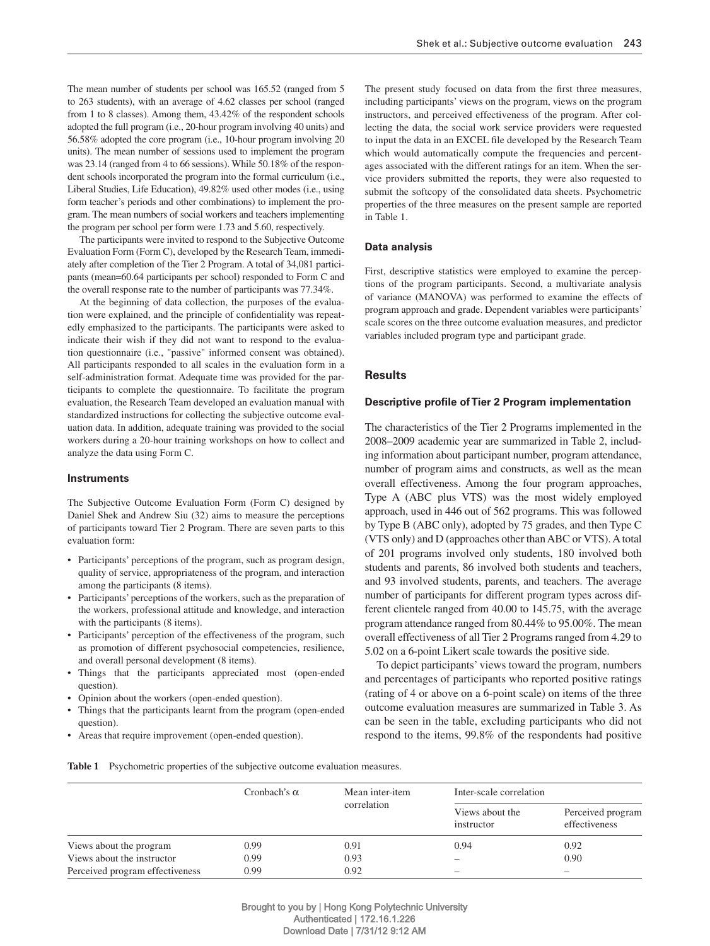The mean number of students per school was 165.52 (ranged from 5 to 263 students), with an average of 4.62 classes per school (ranged from 1 to 8 classes). Among them, 43.42% of the respondent schools adopted the full program (i.e., 20-hour program involving 40 units) and 56.58 % adopted the core program (i.e., 10-hour program involving 20 units). The mean number of sessions used to implement the program was 23.14 (ranged from 4 to 66 sessions). While 50.18% of the respondent schools incorporated the program into the formal curriculum (i.e., Liberal Studies, Life Education), 49.82% used other modes (i.e., using form teacher's periods and other combinations) to implement the program. The mean numbers of social workers and teachers implementing the program per school per form were 1.73 and 5.60, respectively.

 The participants were invited to respond to the Subjective Outcome Evaluation Form (Form C), developed by the Research Team, immediately after completion of the Tier 2 Program. A total of 34,081 participants (mean=60.64 participants per school) responded to Form C and the overall response rate to the number of participants was 77.34%.

 At the beginning of data collection, the purposes of the evaluation were explained, and the principle of confidentiality was repeatedly emphasized to the participants. The participants were asked to indicate their wish if they did not want to respond to the evaluation questionnaire (i.e., "passive" informed consent was obtained). All participants responded to all scales in the evaluation form in a self-administration format. Adequate time was provided for the participants to complete the questionnaire. To facilitate the program evaluation, the Research Team developed an evaluation manual with standardized instructions for collecting the subjective outcome evaluation data. In addition, adequate training was provided to the social workers during a 20-hour training workshops on how to collect and analyze the data using Form C.

#### **Instruments**

 The Subjective Outcome Evaluation Form (Form C) designed by Daniel Shek and Andrew Siu (32) aims to measure the perceptions of participants toward Tier 2 Program. There are seven parts to this evaluation form:

- Participants' perceptions of the program, such as program design, quality of service, appropriateness of the program, and interaction among the participants (8 items).
- Participants' perceptions of the workers, such as the preparation of the workers, professional attitude and knowledge, and interaction with the participants (8 items).
- Participants' perception of the effectiveness of the program, such as promotion of different psychosocial competencies, resilience, and overall personal development (8 items).
- Things that the participants appreciated most (open-ended question).
- Opinion about the workers (open-ended question).
- Things that the participants learnt from the program (open-ended question).
- Areas that require improvement (open-ended question).

The present study focused on data from the first three measures, including participants' views on the program, views on the program instructors, and perceived effectiveness of the program. After collecting the data, the social work service providers were requested to input the data in an EXCEL file developed by the Research Team which would automatically compute the frequencies and percentages associated with the different ratings for an item. When the service providers submitted the reports, they were also requested to submit the softcopy of the consolidated data sheets. Psychometric properties of the three measures on the present sample are reported in Table 1.

#### **Data analysis**

 First, descriptive statistics were employed to examine the perceptions of the program participants. Second, a multivariate analysis of variance (MANOVA) was performed to examine the effects of program approach and grade. Dependent variables were participants ' scale scores on the three outcome evaluation measures, and predictor variables included program type and participant grade.

#### **Results**

#### **Descriptive profile of Tier 2 Program implementation**

 The characteristics of the Tier 2 Programs implemented in the 2008 – 2009 academic year are summarized in Table 2 , including information about participant number, program attendance, number of program aims and constructs, as well as the mean overall effectiveness. Among the four program approaches, Type A (ABC plus VTS) was the most widely employed approach, used in 446 out of 562 programs. This was followed by Type B (ABC only), adopted by 75 grades, and then Type C (VTS only) and D (approaches other than ABC or VTS). A total of 201 programs involved only students, 180 involved both students and parents, 86 involved both students and teachers, and 93 involved students, parents, and teachers. The average number of participants for different program types across different clientele ranged from 40.00 to 145.75, with the average program attendance ranged from 80.44% to 95.00%. The mean overall effectiveness of all Tier 2 Programs ranged from 4.29 to 5.02 on a 6-point Likert scale towards the positive side.

To depict participants' views toward the program, numbers and percentages of participants who reported positive ratings (rating of 4 or above on a 6-point scale) on items of the three outcome evaluation measures are summarized in Table 3 . As can be seen in the table, excluding participants who did not respond to the items, 99.8% of the respondents had positive

**Table 1** Psychometric properties of the subjective outcome evaluation measures.

|                                 | Cronbach's $\alpha$ | Mean inter-item |                               | Inter-scale correlation            |  |  |  |
|---------------------------------|---------------------|-----------------|-------------------------------|------------------------------------|--|--|--|
|                                 |                     | correlation     | Views about the<br>instructor | Perceived program<br>effectiveness |  |  |  |
| Views about the program         | 0.99                | 0.91            | 0.94                          | 0.92                               |  |  |  |
| Views about the instructor      | 0.99                | 0.93            |                               | 0.90                               |  |  |  |
| Perceived program effectiveness | 0.99                | 0.92            |                               |                                    |  |  |  |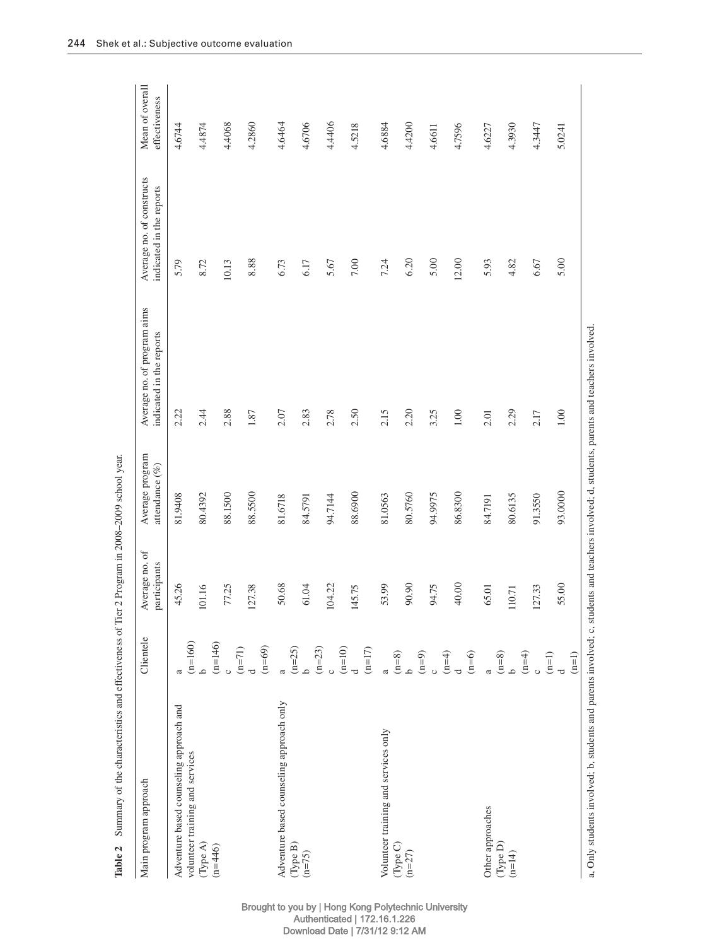| Main program approach                                                                                                                       | Clientele                                        | Average no. of<br>participants | Average program<br>attendance $(\%)$ | Average no. of program aims<br>indicated in the reports | Average no. of constructs<br>indicated in the reports | Mean of overall<br>effectiveness |
|---------------------------------------------------------------------------------------------------------------------------------------------|--------------------------------------------------|--------------------------------|--------------------------------------|---------------------------------------------------------|-------------------------------------------------------|----------------------------------|
| Adventure based counseling approach and                                                                                                     |                                                  | 45.26                          | 81.9408                              | 2.22                                                    | 5.79                                                  | 4.6744                           |
| volunteer training and services<br>(Type A)                                                                                                 | $(n=160)$<br>م                                   | 101.16                         | 80.4392                              | 2.44                                                    | 8.72                                                  | 4.4874                           |
| $(n=446)$                                                                                                                                   | $(n=146)$                                        | 77.25                          | 88.1500                              | 2.88                                                    | 10.13                                                 | 4.4068                           |
|                                                                                                                                             | $(n=69)$<br>$(n=71)$                             | 127.38                         | 88.5500                              | 1.87                                                    | 8.88                                                  | 4.2860                           |
| Adventure based counseling approach only                                                                                                    | $\mathfrak{a}$                                   | 50.68                          | 81.6718                              | 2.07                                                    | 6.73                                                  | 4.6464                           |
| (Type B)<br>$(n=75)$                                                                                                                        | $(n=25)$<br>م                                    | 61.04                          | 84.5791                              | 2.83                                                    | 6.17                                                  | 4,6706                           |
|                                                                                                                                             | $(n=23)$                                         | 104.22                         | 94.7144                              | 2.78                                                    | 5.67                                                  | 4.4406                           |
|                                                                                                                                             | $(n=10)$<br>$(n=17)$<br>$\overline{\phantom{a}}$ | <b>15.75</b><br>$\sharp$       | 88.6900                              | 2.50                                                    | 7.00                                                  | 4.5218                           |
| Volunteer training and services only                                                                                                        | a                                                | 53.99                          | 81.0563                              | 2.15                                                    | 7.24                                                  | 4.6884                           |
| (Type C)<br>$(n=27)$                                                                                                                        | $(n=8)$<br>م                                     | 90.90                          | 80.5760                              | 2.20                                                    | 6.20                                                  | 4,4200                           |
|                                                                                                                                             | $(n=9)$                                          | 4.75                           | 94.9975                              | 3.25                                                    | 5.00                                                  | 4.6611                           |
|                                                                                                                                             | $(n=4)$<br>$(n=6)$<br>$\overline{\sigma}$        | 40.00                          | 86.8300                              | 1.00                                                    | 12.00                                                 | 4.7596                           |
| Other approaches                                                                                                                            | $\overline{a}$                                   | 65.01                          | 84.7191                              | 2.01                                                    | 5.93                                                  | 4.6227                           |
| (Type D)<br>$(n=14)$                                                                                                                        | $(n=8)$<br>م                                     | 110.71                         | 80.6135                              | 2.29                                                    | 4.82                                                  | 4.3930                           |
|                                                                                                                                             | $(n=4)$<br>$\circ$                               | 127.33                         | 91.3550                              | 2.17                                                    | 6.67                                                  | 4.3447                           |
|                                                                                                                                             | $(n=1)$<br>$(n=1)$<br>d                          | 55.00                          | 93.0000                              | 1.00                                                    | 5.00                                                  | 5.0241                           |
| a, Only students involved; b, students and parents involved; c, students and teachers involved; d, students, parents and teachers involved. |                                                  |                                |                                      |                                                         |                                                       |                                  |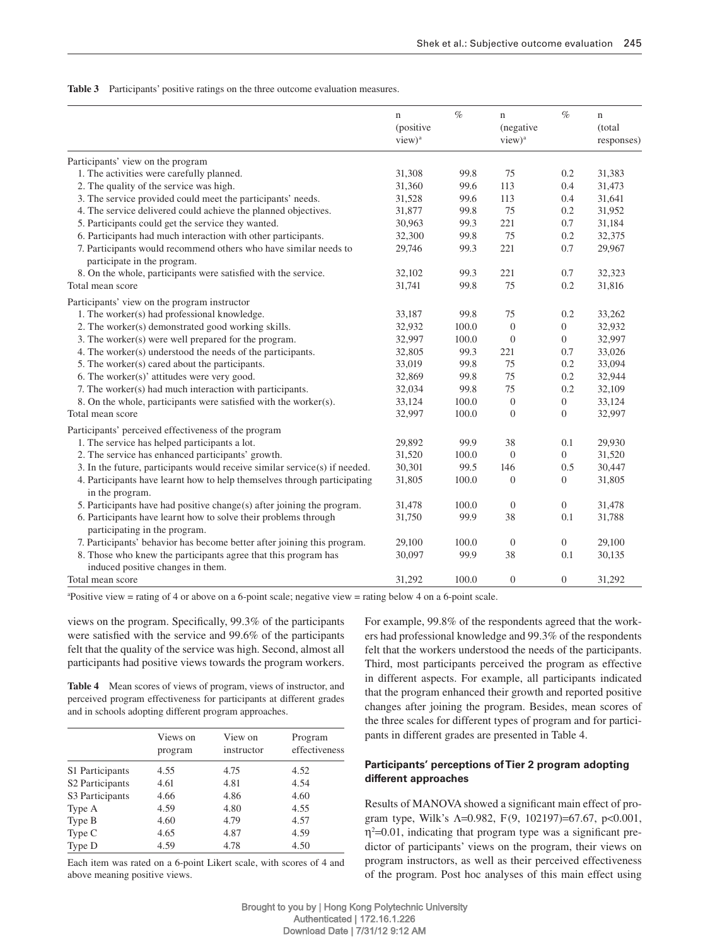**Table 3** Participants' positive ratings on the three outcome evaluation measures.

|                                                                                                     | $\mathbf n$<br>(positive<br>view) <sup>a</sup> | $\%$  | $\mathbf n$<br>(negative<br>view) <sup>a</sup> | $\%$             | $\mathbf n$<br>(total<br>responses) |
|-----------------------------------------------------------------------------------------------------|------------------------------------------------|-------|------------------------------------------------|------------------|-------------------------------------|
| Participants' view on the program                                                                   |                                                |       |                                                |                  |                                     |
| 1. The activities were carefully planned.                                                           | 31,308                                         | 99.8  | 75                                             | 0.2              | 31,383                              |
| 2. The quality of the service was high.                                                             | 31,360                                         | 99.6  | 113                                            | 0.4              | 31,473                              |
| 3. The service provided could meet the participants' needs.                                         | 31,528                                         | 99.6  | 113                                            | 0.4              | 31,641                              |
| 4. The service delivered could achieve the planned objectives.                                      | 31,877                                         | 99.8  | 75                                             | 0.2              | 31,952                              |
| 5. Participants could get the service they wanted.                                                  | 30,963                                         | 99.3  | 221                                            | 0.7              | 31,184                              |
| 6. Participants had much interaction with other participants.                                       | 32,300                                         | 99.8  | 75                                             | 0.2              | 32,375                              |
| 7. Participants would recommend others who have similar needs to<br>participate in the program.     | 29,746                                         | 99.3  | 221                                            | 0.7              | 29,967                              |
| 8. On the whole, participants were satisfied with the service.                                      | 32,102                                         | 99.3  | 221                                            | 0.7              | 32,323                              |
| Total mean score                                                                                    | 31,741                                         | 99.8  | 75                                             | 0.2              | 31,816                              |
| Participants' view on the program instructor                                                        |                                                |       |                                                |                  |                                     |
| 1. The worker(s) had professional knowledge.                                                        | 33,187                                         | 99.8  | 75                                             | 0.2              | 33,262                              |
| 2. The worker(s) demonstrated good working skills.                                                  | 32,932                                         | 100.0 | $\overline{0}$                                 | $\boldsymbol{0}$ | 32,932                              |
| 3. The worker(s) were well prepared for the program.                                                | 32,997                                         | 100.0 | $\boldsymbol{0}$                               | $\overline{0}$   | 32,997                              |
| 4. The worker(s) understood the needs of the participants.                                          | 32,805                                         | 99.3  | 221                                            | 0.7              | 33,026                              |
| 5. The worker(s) cared about the participants.                                                      | 33,019                                         | 99.8  | 75                                             | 0.2              | 33,094                              |
| 6. The worker(s)' attitudes were very good.                                                         | 32,869                                         | 99.8  | 75                                             | 0.2              | 32,944                              |
| 7. The worker(s) had much interaction with participants.                                            | 32,034                                         | 99.8  | 75                                             | 0.2              | 32,109                              |
| 8. On the whole, participants were satisfied with the worker(s).                                    | 33,124                                         | 100.0 | $\overline{0}$                                 | $\mathbf{0}$     | 33,124                              |
| Total mean score                                                                                    | 32,997                                         | 100.0 | $\boldsymbol{0}$                               | $\boldsymbol{0}$ | 32,997                              |
| Participants' perceived effectiveness of the program                                                |                                                |       |                                                |                  |                                     |
| 1. The service has helped participants a lot.                                                       | 29,892                                         | 99.9  | 38                                             | 0.1              | 29,930                              |
| 2. The service has enhanced participants' growth.                                                   | 31,520                                         | 100.0 | $\theta$                                       | $\overline{0}$   | 31,520                              |
| 3. In the future, participants would receive similar service(s) if needed.                          | 30,301                                         | 99.5  | 146                                            | 0.5              | 30,447                              |
| 4. Participants have learnt how to help themselves through participating<br>in the program.         | 31,805                                         | 100.0 | $\mathbf{0}$                                   | $\boldsymbol{0}$ | 31,805                              |
| 5. Participants have had positive change(s) after joining the program.                              | 31,478                                         | 100.0 | $\mathbf{0}$                                   | $\boldsymbol{0}$ | 31,478                              |
| 6. Participants have learnt how to solve their problems through<br>participating in the program.    | 31,750                                         | 99.9  | 38                                             | 0.1              | 31,788                              |
| 7. Participants' behavior has become better after joining this program.                             | 29,100                                         | 100.0 | $\overline{0}$                                 | $\overline{0}$   | 29,100                              |
| 8. Those who knew the participants agree that this program has<br>induced positive changes in them. | 30,097                                         | 99.9  | 38                                             | 0.1              | 30,135                              |
| Total mean score                                                                                    | 31,292                                         | 100.0 | $\theta$                                       | $\overline{0}$   | 31,292                              |

a Positive view = rating of 4 or above on a 6-point scale; negative view = rating below 4 on a 6-point scale.

views on the program. Specifically, 99.3% of the participants were satisfied with the service and  $99.6\%$  of the participants felt that the quality of the service was high. Second, almost all participants had positive views towards the program workers.

**Table 4** Mean scores of views of program, views of instructor, and perceived program effectiveness for participants at different grades and in schools adopting different program approaches.

|                             | Views on<br>program | View on<br>instructor | Program<br>effectiveness |
|-----------------------------|---------------------|-----------------------|--------------------------|
| S1 Participants             | 4.55                | 4.75                  | 4.52                     |
| S <sub>2</sub> Participants | 4.61                | 4.81                  | 4.54                     |
| S3 Participants             | 4.66                | 4.86                  | 4.60                     |
| Type A                      | 4.59                | 4.80                  | 4.55                     |
| Type B                      | 4.60                | 4.79                  | 4.57                     |
| Type C                      | 4.65                | 4.87                  | 4.59                     |
| Type D                      | 4.59                | 4.78                  | 4.50                     |

 Each item was rated on a 6-point Likert scale, with scores of 4 and above meaning positive views.

For example, 99.8% of the respondents agreed that the workers had professional knowledge and 99.3 % of the respondents felt that the workers understood the needs of the participants. Third, most participants perceived the program as effective in different aspects. For example, all participants indicated that the program enhanced their growth and reported positive changes after joining the program. Besides, mean scores of the three scales for different types of program and for participants in different grades are presented in Table 4.

# Participants' perceptions of Tier 2 program adopting **different approaches**

Results of MANOVA showed a significant main effect of program type, Wilk's  $\Lambda$ =0.982, F(9, 102197)=67.67, p<0.001,  $\eta^2$ =0.01, indicating that program type was a significant predictor of participants' views on the program, their views on program instructors, as well as their perceived effectiveness of the program. Post hoc analyses of this main effect using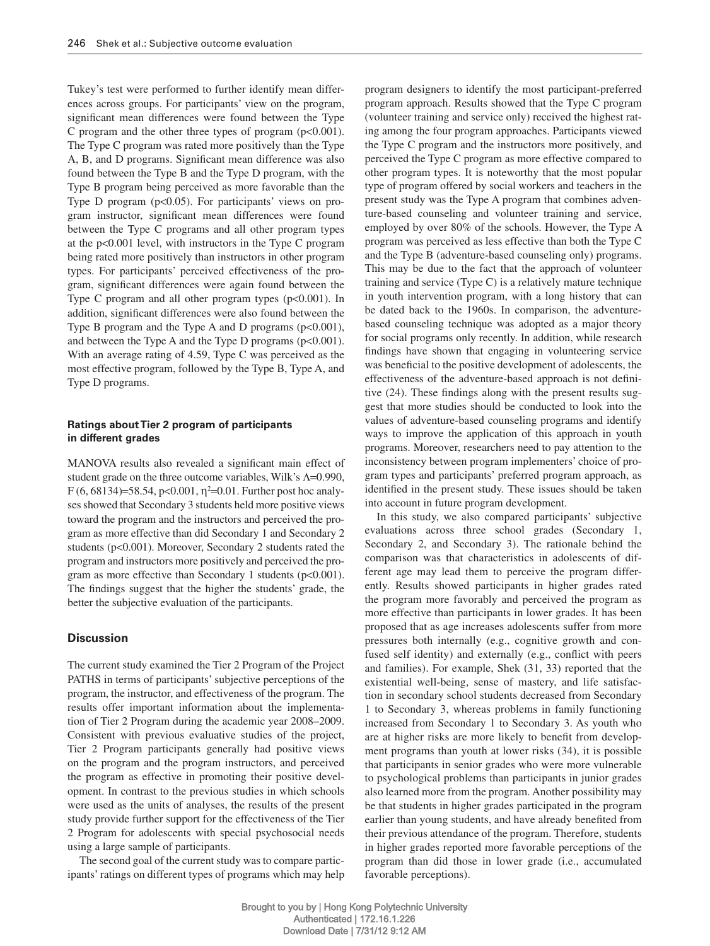Tukey's test were performed to further identify mean differences across groups. For participants' view on the program, significant mean differences were found between the Type C program and the other three types of program  $(p<0.001)$ . The Type C program was rated more positively than the Type A, B, and D programs. Significant mean difference was also found between the Type B and the Type D program, with the Type B program being perceived as more favorable than the Type D program ( $p < 0.05$ ). For participants' views on program instructor, significant mean differences were found between the Type C programs and all other program types at the  $p<0.001$  level, with instructors in the Type C program being rated more positively than instructors in other program types. For participants' perceived effectiveness of the program, significant differences were again found between the Type C program and all other program types  $(p<0.001)$ . In addition, significant differences were also found between the Type B program and the Type A and D programs  $(p<0.001)$ , and between the Type A and the Type D programs  $(p<0.001)$ . With an average rating of 4.59, Type C was perceived as the most effective program, followed by the Type B, Type A, and Type D programs.

## **Ratings about Tier 2 program of participants in different grades**

MANOVA results also revealed a significant main effect of student grade on the three outcome variables, Wilk's  $\Lambda$ =0.990, F (6, 68134)=58.54, p<0.001,  $\eta^2$ =0.01. Further post hoc analyses showed that Secondary 3 students held more positive views toward the program and the instructors and perceived the program as more effective than did Secondary 1 and Secondary 2 students (p<0.001). Moreover, Secondary 2 students rated the program and instructors more positively and perceived the program as more effective than Secondary 1 students ( $p<0.001$ ). The findings suggest that the higher the students' grade, the better the subjective evaluation of the participants.

# **Discussion**

 The current study examined the Tier 2 Program of the Project PATHS in terms of participants' subjective perceptions of the program, the instructor, and effectiveness of the program. The results offer important information about the implementation of Tier 2 Program during the academic year 2008–2009. Consistent with previous evaluative studies of the project, Tier 2 Program participants generally had positive views on the program and the program instructors, and perceived the program as effective in promoting their positive development. In contrast to the previous studies in which schools were used as the units of analyses, the results of the present study provide further support for the effectiveness of the Tier 2 Program for adolescents with special psychosocial needs using a large sample of participants.

 The second goal of the current study was to compare participants' ratings on different types of programs which may help program designers to identify the most participant-preferred program approach. Results showed that the Type C program (volunteer training and service only) received the highest rating among the four program approaches. Participants viewed the Type C program and the instructors more positively, and perceived the Type C program as more effective compared to other program types. It is noteworthy that the most popular type of program offered by social workers and teachers in the present study was the Type A program that combines adventure-based counseling and volunteer training and service, employed by over 80% of the schools. However, the Type A program was perceived as less effective than both the Type C and the Type B (adventure-based counseling only) programs. This may be due to the fact that the approach of volunteer training and service (Type C) is a relatively mature technique in youth intervention program, with a long history that can be dated back to the 1960s. In comparison, the adventurebased counseling technique was adopted as a major theory for social programs only recently. In addition, while research findings have shown that engaging in volunteering service was beneficial to the positive development of adolescents, the effectiveness of the adventure-based approach is not definitive (24). These findings along with the present results suggest that more studies should be conducted to look into the values of adventure-based counseling programs and identify ways to improve the application of this approach in youth programs. Moreover, researchers need to pay attention to the inconsistency between program implementers' choice of program types and participants' preferred program approach, as identified in the present study. These issues should be taken into account in future program development.

In this study, we also compared participants' subjective evaluations across three school grades (Secondary 1, Secondary 2, and Secondary 3). The rationale behind the comparison was that characteristics in adolescents of different age may lead them to perceive the program differently. Results showed participants in higher grades rated the program more favorably and perceived the program as more effective than participants in lower grades. It has been proposed that as age increases adolescents suffer from more pressures both internally (e.g., cognitive growth and confused self identity) and externally (e.g., conflict with peers and families). For example, Shek (31, 33) reported that the existential well-being, sense of mastery, and life satisfaction in secondary school students decreased from Secondary 1 to Secondary 3, whereas problems in family functioning increased from Secondary 1 to Secondary 3. As youth who are at higher risks are more likely to benefit from development programs than youth at lower risks (34), it is possible that participants in senior grades who were more vulnerable to psychological problems than participants in junior grades also learned more from the program. Another possibility may be that students in higher grades participated in the program earlier than young students, and have already benefited from their previous attendance of the program. Therefore, students in higher grades reported more favorable perceptions of the program than did those in lower grade (i.e., accumulated favorable perceptions).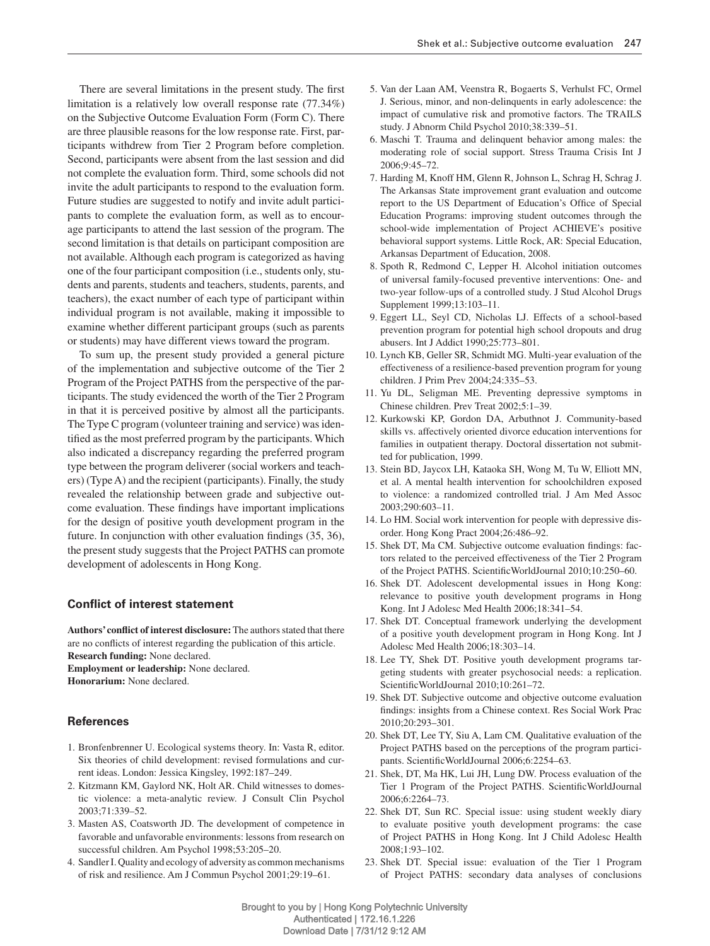There are several limitations in the present study. The first limitation is a relatively low overall response rate  $(77.34\%)$ on the Subjective Outcome Evaluation Form (Form C). There are three plausible reasons for the low response rate. First, participants withdrew from Tier 2 Program before completion. Second, participants were absent from the last session and did not complete the evaluation form. Third, some schools did not invite the adult participants to respond to the evaluation form. Future studies are suggested to notify and invite adult participants to complete the evaluation form, as well as to encourage participants to attend the last session of the program. The second limitation is that details on participant composition are not available. Although each program is categorized as having one of the four participant composition (i.e., students only, students and parents, students and teachers, students, parents, and teachers), the exact number of each type of participant within individual program is not available, making it impossible to examine whether different participant groups (such as parents or students) may have different views toward the program.

 To sum up, the present study provided a general picture of the implementation and subjective outcome of the Tier 2 Program of the Project PATHS from the perspective of the participants. The study evidenced the worth of the Tier 2 Program in that it is perceived positive by almost all the participants. The Type C program (volunteer training and service) was identified as the most preferred program by the participants. Which also indicated a discrepancy regarding the preferred program type between the program deliverer (social workers and teachers) (Type A) and the recipient (participants). Finally, the study revealed the relationship between grade and subjective outcome evaluation. These findings have important implications for the design of positive youth development program in the future. In conjunction with other evaluation findings (35, 36), the present study suggests that the Project PATHS can promote development of adolescents in Hong Kong.

### **Conflict of interest statement**

Authors' conflict of interest disclosure: The authors stated that there are no conflicts of interest regarding the publication of this article. **Research funding:** None declared. **Employment or leadership:** None declared.

**Honorarium:** None declared.

#### **References**

- 1. Bronfenbrenner U. Ecological systems theory. In: Vasta R, editor. Six theories of child development: revised formulations and current ideas. London: Jessica Kingsley, 1992:187-249.
- 2. Kitzmann KM, Gaylord NK, Holt AR. Child witnesses to domestic violence: a meta-analytic review. J Consult Clin Psychol 2003;71:339-52.
- 3. Masten AS, Coatsworth JD. The development of competence in favorable and unfavorable environments: lessons from research on successful children. Am Psychol 1998;53:205-20.
- 4. Sandler I. Quality and ecology of adversity as common mechanisms of risk and resilience. Am J Commun Psychol 2001;29:19-61.
- 5. Van der Laan AM, Veenstra R, Bogaerts S, Verhulst FC, Ormel J. Serious, minor, and non-delinquents in early adolescence: the impact of cumulative risk and promotive factors. The TRAILS study. J Abnorm Child Psychol 2010;38:339-51.
- 6. Maschi T. Trauma and delinquent behavior among males: the moderating role of social support. Stress Trauma Crisis Int J 2006;9:45 – 72.
- 7. Harding M, Knoff HM, Glenn R, Johnson L, Schrag H, Schrag J. The Arkansas State improvement grant evaluation and outcome report to the US Department of Education's Office of Special Education Programs: improving student outcomes through the school-wide implementation of Project ACHIEVE's positive behavioral support systems. Little Rock, AR: Special Education, Arkansas Department of Education, 2008.
- 8. Spoth R, Redmond C, Lepper H. Alcohol initiation outcomes of universal family-focused preventive interventions: One- and two-year follow-ups of a controlled study. J Stud Alcohol Drugs Supplement 1999;13:103-11.
- 9. Eggert LL, Seyl CD, Nicholas LJ. Effects of a school-based prevention program for potential high school dropouts and drug abusers. Int J Addict 1990;25:773 – 801.
- 10. Lynch KB, Geller SR, Schmidt MG. Multi-year evaluation of the effectiveness of a resilience-based prevention program for young children. J Prim Prev 2004;24:335-53.
- 11. Yu DL, Seligman ME. Preventing depressive symptoms in Chinese children. Prev Treat 2002;5:1–39.
- 12. Kurkowski KP, Gordon DA, Arbuthnot J. Community-based skills vs. affectively oriented divorce education interventions for families in outpatient therapy. Doctoral dissertation not submitted for publication, 1999.
- 13. Stein BD, Jaycox LH, Kataoka SH, Wong M, Tu W, Elliott MN, et al. A mental health intervention for schoolchildren exposed to violence: a randomized controlled trial. J Am Med Assoc 2003;290:603 – 11.
- 14. Lo HM. Social work intervention for people with depressive disorder. Hong Kong Pract 2004;26:486-92.
- 15. Shek DT, Ma CM. Subjective outcome evaluation findings: factors related to the perceived effectiveness of the Tier 2 Program of the Project PATHS. Scientific WorldJournal 2010;10:250-60.
- 16. Shek DT. Adolescent developmental issues in Hong Kong: relevance to positive youth development programs in Hong Kong. Int J Adolesc Med Health 2006;18:341-54.
- 17. Shek DT. Conceptual framework underlying the development of a positive youth development program in Hong Kong. Int J Adolesc Med Health 2006;18:303-14.
- 18. Lee TY, Shek DT. Positive youth development programs targeting students with greater psychosocial needs: a replication. Scientific WorldJournal 2010;10:261-72.
- 19. Shek DT. Subjective outcome and objective outcome evaluation findings: insights from a Chinese context. Res Social Work Prac 2010;20:293 – 301.
- 20. Shek DT, Lee TY, Siu A, Lam CM. Qualitative evaluation of the Project PATHS based on the perceptions of the program participants. Scientific WorldJournal 2006;6:2254-63.
- 21. Shek, DT, Ma HK, Lui JH, Lung DW. Process evaluation of the Tier 1 Program of the Project PATHS. Scientific WorldJournal 2006;6:2264-73.
- 22. Shek DT, Sun RC. Special issue: using student weekly diary to evaluate positive youth development programs: the case of Project PATHS in Hong Kong. Int J Child Adolesc Health 2008;1:93 – 102.
- 23. Shek DT. Special issue: evaluation of the Tier 1 Program of Project PATHS: secondary data analyses of conclusions